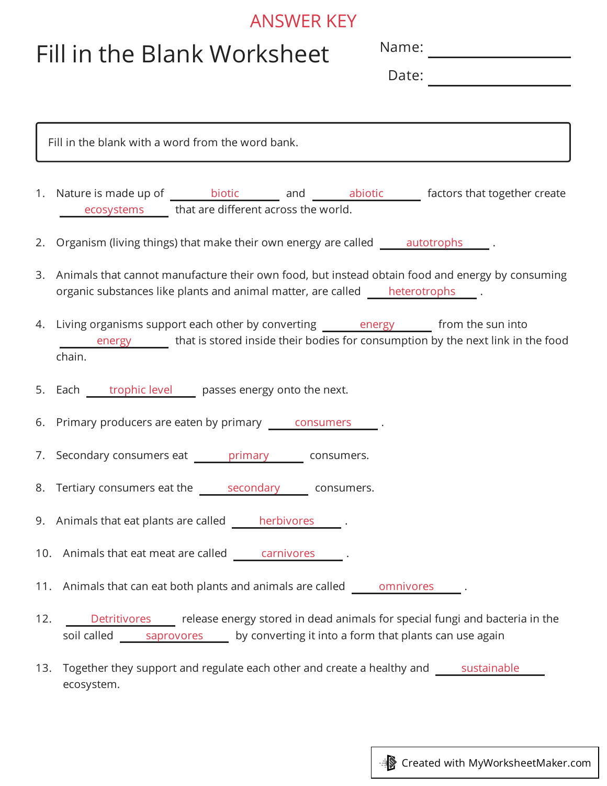## ANSWER KEY

## Fill in the Blank Worksheet

Name:

Date:

| Fill in the blank with a word from the word bank. |                                                                                                                                                                                        |  |  |  |  |
|---------------------------------------------------|----------------------------------------------------------------------------------------------------------------------------------------------------------------------------------------|--|--|--|--|
|                                                   | 1. Nature is made up of ________ biotic ________ and ________ abiotic _______ factors that together create<br>ecosystems _____ that are different across the world.                    |  |  |  |  |
|                                                   | 2. Organism (living things) that make their own energy are called ______ autotrophs _______.                                                                                           |  |  |  |  |
|                                                   | 3. Animals that cannot manufacture their own food, but instead obtain food and energy by consuming<br>organic substances like plants and animal matter, are called heterotrophs .      |  |  |  |  |
|                                                   | 4. Living organisms support each other by converting energy the from the sun into<br>energy that is stored inside their bodies for consumption by the next link in the food<br>chain.  |  |  |  |  |
|                                                   | 5. Each trophic level passes energy onto the next.                                                                                                                                     |  |  |  |  |
|                                                   | 6. Primary producers are eaten by primary <u>consumers</u> .                                                                                                                           |  |  |  |  |
|                                                   | 7. Secondary consumers eat _______ primary _______ consumers.                                                                                                                          |  |  |  |  |
|                                                   | 8. Tertiary consumers eat the secondary consumers.                                                                                                                                     |  |  |  |  |
|                                                   | 9. Animals that eat plants are called herbivores 1.                                                                                                                                    |  |  |  |  |
|                                                   | 10. Animals that eat meat are called carnivores<br><b>Contract Contract</b>                                                                                                            |  |  |  |  |
|                                                   | 11. Animals that can eat both plants and animals are called omnivores                                                                                                                  |  |  |  |  |
| 12.                                               | release energy stored in dead animals for special fungi and bacteria in the<br><b>Detritivores</b><br>soil called saprovores<br>by converting it into a form that plants can use again |  |  |  |  |
| 13.                                               | Together they support and regulate each other and create a healthy and<br>sustainable<br>ecosystem.                                                                                    |  |  |  |  |